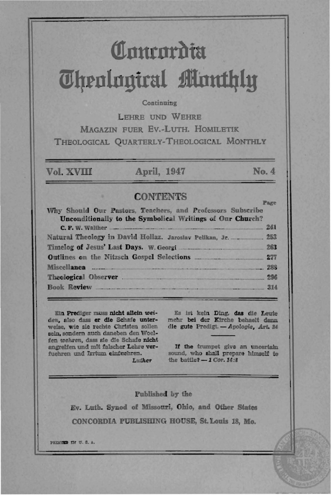# **(ttnurttroiu**  *<u>Chenlouiral Monthly</u>*

#### Continuing

LEHRE UNO WEHRE MAGAZIN FUER Ev.-LUTH. HOMILETIK THEOLOGICAL QUARTERLy-THEOLOGICAL MONTHLY

Vol.xvm April, 1947 No.4

### **CONTENTS**

Why Should Our Pastors, Teachers, and Professors Subscribe Unconditionally to the Symbolical Writings of Our Church?  $C. F. W.$  Walther  $241$ Natural Theology in David Hollaz. Jaroslav Pelikan, Jr. \_\_\_\_\_\_\_\_\_\_\_ 253 Timelog of Jesus' Last Days. W. Geo i \_\_ . \_\_ .. \_\_ \_ .. .... \_\_ ... \_ \_\_ Z63 Outlines on the Nitzsch Gospel Selections .. \_\_ \_\_ \_\_\_\_ .. \_ 277  $Miscellana$  .  $288$ Theological Observer . \_\_\_ . \_\_\_\_\_ .\_ .. .. \_\_ .\_ .. \_ 2M Book Review \_ ..\_ .. \_\_ \_ .... \_\_ . \_\_ . .. \_\_ - . \_\_ \_\_\_\_\_\_\_ ... ...\_. . \_ \_\_ 314

Ein Prediger muss nicht allein weiden, also dass er die Schafe unterwelae. wte sie rechte Chrlsten aollen sein. sondern auch daneben den Woelfen wehren, dass sie die Schafe nicht angreifen und mit falscher Lehre verfuehren und Irrtum einfuehren.

Luther

Es ist kein Ding, das die Leute mehr bei der Kirche behaelt denn die gute Predigt. - Apologie, Art. 24

If the trumpet give an uncertain sound, who shall prepare himself to the battle? - 1 Cor. 14:8

Published by the

Ev. Luth. Synod of Missouri, Ohio, and Other States CONCORDIA PUBLISHING BOUSE, St. Louis 18, Mo.

PRINTED IN U. S. A.

#### Page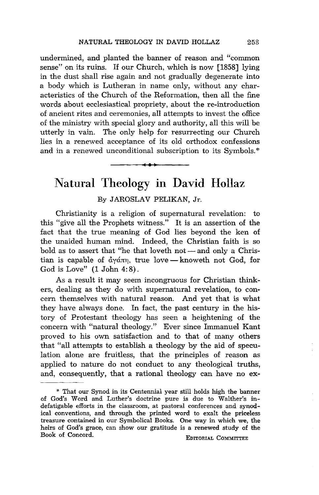undermined, and planted the banner of reason and "common sense" on its ruins. If our Church, which is now [1858] lying in the dust shall rise again and not gradually degenerate into a body which is Lutheran in name only, without any characteristics of the Church of the Reformation, then all the fine words about ecclesiastical propriety, about the re-introduction of ancient rites and ceremonies, all attempts to invest the office of the ministry with special glory and authority, all this will be utterly in vain. The only help for resurrecting our Church lies in a renewed acceptance of its old orthodox confessions and in a renewed unconditional subscription to its Symbols. \*

## Natural Theology in David Hollaz

•**••** 

#### By JAROSLAV PELIKAN, Jr.

Christianity is a religion of supernatural revelation: to this "give all the Prophets witness." It is an assertion of the fact that the true meaning of God lies beyond the ken of the unaided human mind. Indeed, the Christian faith is so bold as to assert that "he that loveth  $not$  - and only a Christian is capable of  $\dot{\alpha}$   $\gamma$  $\dot{\alpha}$ m, true love — knoweth not God, for God is Love" (1 John 4: 8).

As a result it may seem incongruous for Christian thinkers, dealing as they do with supernatural revelation, to concern themselves with natural reason. And yet that is what they have always done. In fact, the past century in the history of Protestant theology has seen a heightening of the concern with "natural theology." Ever since Immanuel Kant proved to his own satisfaction and to that of many others that "all attempts to establish a theology by the aid of speculation alone are fruitless, that the principles of reason as applied to nature do not conduct to any theological truths, and, consequently, that a rational theology can have no ex-

<sup>\*</sup> That our Synod in its Centennial year still holds high the banner of God's Word and Luther's doctrine pure is due to Walther's indefatigable efforts in the classroom, at pastoral conferences and synodical conventions, and through the printed word to exalt the priceless treasure contained in our Symbolical Books. One way in which we, the heirs of God's grace, can show our gratitude is a renewed study of the Book of Concord. EDITORIAL COMMITTEE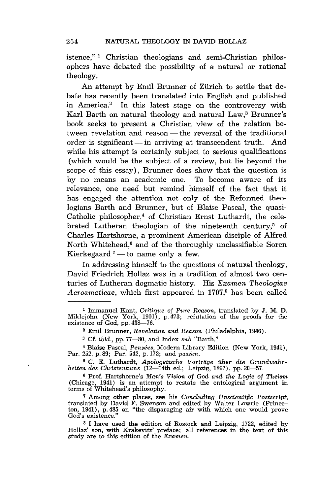istence," 1 Christian theologians and semi-Christian philosophers have debated the possibility of a natural or rational theology.

An attempt by Emil Brunner of Zürich to settle that debate has recently been translated into English and published in America.2 In this latest stage on the controversy with Karl Barth on natural theology and natural Law,<sup>3</sup> Brunner's book seeks to present a Christian view of the relation between revelation and reason – the reversal of the traditional order is significant - in arriving at transcendent truth. And while his attempt is certainly subject to serious qualifications (which would be the subject of a review, but lie beyond the scope of this essay), Brunner does show that the question is by no means an academic one. To become aware of its relevance, one need but remind himself of the fact that it has engaged the attention not only of the Reformed theologians Barth and Brunner, but of Blaise Pascal, the quasi-Catholic philosopher,<sup>4</sup> of Christian Ernst Luthardt, the celebrated Lutheran theologian of the nineteenth century,<sup>5</sup> of Charles Hartshorne, a prominent American disciple of Alfred North Whitehead,<sup>6</sup> and of the thoroughly unclassifiable Soren Kierkegaard<sup>7</sup> — to name only a few.

In addressing himself to the questions of natural theology, David Friedrich Hollaz was in a tradition of almost two centuries of Lutheran dogmatic history. His *Examen Theologiae*  Acroamaticae, which first appeared in 1707,<sup>8</sup> has been called

<sup>1</sup> Immanuel Kant, *Critique of Pure Reason,* translated by J. M. D. Miklejohn (New York, 1901), p. 473; refutation of the proofs for the existence of God, pp. 438-76.

<sup>2</sup> Emil Brunner, *Revelation and Reason* (Philadelphia, 1946).

<sup>3</sup> Cf. *ibid.,* pp.77-80, and Index sub "Barth."

<sup>4</sup> Blaise Pascal, *Pensees,* Modern Library Edition (New York, 1941), Par. 252, p.89; Par. 542, p.172; and *passim.* 

<sup>5</sup> C. E. Luthardt, *Apologetische Vortriige iiber die Grundwahr-heiten des Christentums* (12-14th ed.; Leipzig, 1897), pp.20-57.

<sup>6</sup> Prof. Hartshorne's *Man's Vision of God and the* Logic *of Theism*  (Chicago, 1941) is an attempt to restate the ontological argument in terms of Whitehead's philosophy.

<sup>7</sup> Among other places, see his *Concluding Unscientific Postscript,*  translated by David F. Swenson and edited by Walter Lowrie (Princeton, 1941), p. 485 on "the disparaging air with which one would prove God's existence."

<sup>8</sup> I have used the edition of Rostock and Leipzig, 1722, edited by Hollaz' son, with Krakevitz' preface; all references in the text of this study are to this edition of the *Examen.*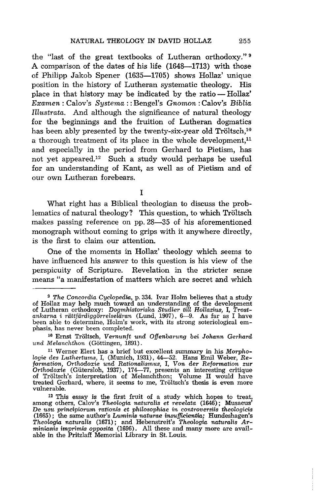the "last of the great textbooks of Lutheran orthodoxy." 9 A comparison of the dates of his life (1648-1713) with those of Philipp Jakob Spener (1635-1705) shows HolIaz' unique position in the history of Lutheran systematic theology. His place in that history may be indicated by the ratio - Hollaz' *Examen* : Calov's *Systema::* Bengel's *Gnomon:* Calov's *Biblia Illustrata.* And although the significance of natural theology for the beginnings and the fruition of Lutheran dogmatics has been ably presented by the twenty-six-year old Tröltsch.<sup>10</sup> a thorough treatment of its place in the whole development, $11$ and especially in the period from Gerhard to Pietism, has not yet appeared.<sup>12</sup> Such a study would perhaps be useful for an understanding of Kant, as well as of Pietism and of our own Lutheran forebears.

I

What right has a Biblical theologian to discuss the problematics of natural theology? This question, to which Tröltsch makes passing reference on pp. 28-35 of his aforementioned monograph without coming to grips with it anywhere directly, is the first to claim our attention.

One of the moments in Hollaz' theology which seems to have influenced his answer to this question is his view of the perspicuity of Scripture. Revelation in the stricter sense means "a manifestation of matters which are secret and which

*<sup>9</sup> The Concordia Cyclopedia,* p. 334. Ivar Holm believes that a study of Hollaz may help much toward an understanding of the development of Lutheran orthodoxy: *Dogmhistoriska Studier till Hollazius,* I, Trost-<br>*ankarna i rättfärdiggörrelseläran (*Lund, 1907), 6—9. As far as I have been able to determine, Holm's work, with its strong soteriological em- phasis, has never been completed.

<sup>&</sup>lt;sup>10</sup> Ernst Tröltsch, Vernunft und Offenbarung bei Johann Gerhard *und Melanchthon* (Gottingen, 1891).

<sup>11</sup> Werner Elert has a brief but excellent summary in his *Morpho*logie des Luthertums, I, (Munich, 1931), 44-52. Hans Emil Weber, *Re*formation, Orthodoxie und Rationalismus, I, Von der Reformation zur Orthodoxie (Gütersloh, 1937), 174—77, presents an interesting critique of Tröltsch's interpretation of Melanchthon; Volume II would have treated Gerhard, where, it seems to me, Troltsch's thesis is even more vulnerable.

<sup>12</sup> This essay is the first fruit of a study which hopes to treat, among others, Calov's *Theologia naturalis* et *revelata* (1646); Musaeus' De US1~ *principiorum rationis* et *philosophiae in controversiis theologicis*  (1665); the same author's *Luminis naturae insufjicientia;* Hundeshagen's *Theologia naturalis* (1671); and Hebenstreit's *Theologia naturalis Arminianis imprimis opposita* (1696). All these and many more are available in the Pritzlaff Memorial Library in St. Louis.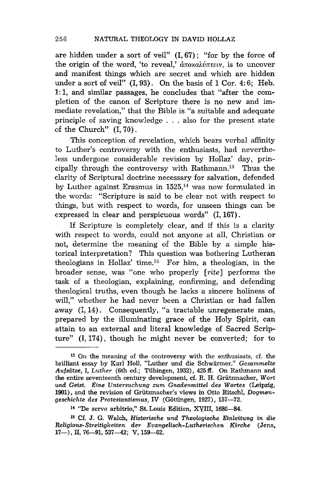are hidden under a sort of veil"  $(I, 67)$ ; "for by the force of the origin of the word, 'to reveal,'  $\frac{\partial}{\partial x}$   $\frac{\partial}{\partial y}$   $\frac{\partial}{\partial x}$  is to uncover and manifest things which are secret and which are hidden under a sort of veil" (I, 93). On the basis of 1 Cor. 4: 6; Heb. 1: 1, and similar passages, he concludes that "after the completion of the canon of Scripture there is no new and immediate revelation," that the Bible is "a suitable and adequate principle of saving knowledge ... also for the present state of the Church" (1,70).

This conception of revelation, which bears verbal affinity to Luther's controversy with the enthusiasts, had nevertheless undergone considerable revision by Hollaz' day, principally through the controversy with Rathmann,13 Thus the clarity of Scriptural doctrine necessary for salvation, defended by Luther against Erasmus in  $1525$ ,<sup>14</sup> was now formulated in the words: "Scripture is said to be clear not with respect to things, but with respect to words, for unseen things can be expressed in clear and perspicuous words" (I, 167) .

If Scripture is completely clear, and if this is a clarity with respect to words, could not anyone at all, Christian or not, determine the meaning of the Bible by a simple historical interpretation? This question was bothering Lutheran theologians in Hollaz' time.<sup>15</sup> For him, a theologian, in the broader sense, was "one who properly *[rite]* performs the task of a theologian, explaining, confirming, and defending theological truths, even though he lacks a sincere holiness of will," whether he had never been a Christian or had fallen away (I, 14). Consequently, "a tractable unregenerate man, prepared by the illuminating grace of the Holy Spirit, can attain to an external and literal knowledge of Sacred Scripture" (1,174), though he might never be converted; for to

 $13$  On the meaning of the controversy with the enthusiasts, cf. the brilliant essay by Karl Holl, "Luther und die Schwarmer," *Gesammelte Aufsiitze,* I, *Luther* (6th ed.; Tiibingen, 1932), 425 ft. On Rathmann and the entire seventeenth century development, cf. R. H. Griitzmacher, *Wort 11,00 Geist. Eine Untersuchung zum Gnadenmittel des Wortes* (Leipzig, 1901), and the revision of Griitzmacher's views in Otto Ritschl, *Dogmengeschichte des Protestantismus,* IV (Gottingen, 1927), 157-72.

<sup>14 &</sup>quot;De servo arbitrio," St. Louis Edition, XYIII, 1680-84.

<sup>&</sup>lt;sup>15</sup> Cf. J. G. Walch, *Historische und Theologische Einleitung in die Religions-Streitigkeiten der Evangelisch-Lutherischen Kirche* (Jena, 17-), II, 76-91, 537-42; V, 159-62.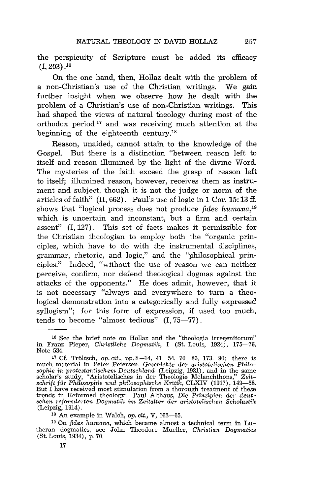the perspicuity of Scripture must be added its efficacy  $(1, 203)$ .<sup>16</sup>

On the one hand, then, Hollaz dealt with the problem of a non-Christian's use of the Christian writings. We gain further insight when we observe how he dealt with the problem of a Christian's use of non-Christian writings. This had shaped the views of natural theology during most of the orthodox period 17 and was receiving much attention at the beginning of the eighteenth century.1S

Reason, unaided, cannot attain to the knowledge of the Gospel. But there is a distinction "between reason left to itself and reason illumined by the light of the divine Word. The mysteries of the faith exceed the grasp of reason left to itself; illumined reason, however, receives them as instrument and subject, though it is not the judge or norm of the articles of faith" (II, 662). Paul's use of logic in 1 Cor. 15: 13 ff. shows that "logical process does not produce *fides humana,19*  which is uncertain and inconstant, but a firm and certain assent" (I, 127) . This set of facts makes it permissible for the Christian theologian to employ both the "organic principles, which have to do with the instrumental disciplines, grammar, rhetoric, and logic," and the "philosophical principles." Indeed, "without the use of reason we can neither perceive, confirm, nor defend theological dogmas against the attacks of the opponents." He does admit, however, that it is not necessary "always and everywhere to turn a theological demonstration into a categorically and fully expressed syllogism"; for this form of expression, if used too much, tends to become "almost tedious" (I, 75-77).

<sup>19</sup> On *fides humana*, which became almost a technical term in Lutheran dogmatics, see John Theodore Mueller, *Christian Dogmatics*  (St. Louis, 1934), p.70.

<sup>16</sup> See the brief note on Hollaz and the "theologia irregenitorum" in Franz Pieper, *Christliche Dogmatik,* I (St. Louis, 1924), 175-76, Note 584.

<sup>17</sup> Cf. Troltsch, *op.* cit., pp.8-14, 41-54, 70-86, 173-90; there is much material in Peter Petersen, *Geschichte der aristotelischen Philo*sophie in protestantischem Deutschland (Leipzig, 1921), and in the same scholar's study, "Aristotelisches in der Theologie Melanchthons," Zeit-<br>schrift für Philosophie und philosophische Kritik, CLXIV (1917), 149—58. But I have received most stimulation from a thorough treatment of these trends in Reformed theology: Paul Althaus, *Die Prinzipien der deut-schen reformierten Dogmatik im Zeitalter der aristotelischen Scholastik*  (Leipzig, 1914).

<sup>18</sup> An example in Walch, *op. cit.,* V, 162-65.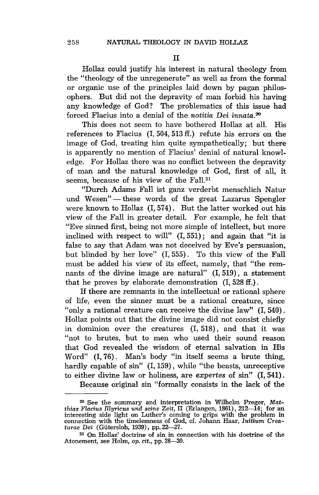Hollaz could justify his interest in natural theology from the "theology of the unregenerate" as well as from the formal or organic use of the principles laid down by pagan philosophers. But did not the depravity of man forbid his having any knowledge of God? The problematics of this issue had forced Flacius into a denial of the *notitia Dei innata*.<sup>20</sup>

This does not seem to have bothered Hollaz at all. His references to Flacius (1,504,513 ff.) refute his errors on the image of God, treating him quite sympathetically; but there is apparently no mention of Flacius' denial of natural knowledge. For Hollaz there was no conflict between the depravity of man and the natural knowledge of God, first of all, it seems, because of his view of the Fall.<sup>21</sup>

"Durch Adams Fall ist ganz verderbt menschlich Natur und Wesen" - these words of the great Lazarus Spengler were known to Hollaz (1,574). But the latter worked out his view of the Fall in greater detail. For example, he felt that "Eve sinned first, being not more simple of intellect, but more inclined with respect to will" (I, 551); and again that "it is false to say that Adam was not deceived by Eve's persuasion, but blinded by her love" (I, 555) . To this view of the Fall must be added his view of its effect, namely, that "the remnants of the divine image are natural" (I, 519), a statement that he proves by elaborate demonstration (1,528 ff.).

If there are remnants in the intellectual or rational sphere of life, even the sinner must be a rational creature, since "only a rational creature can receive the divine law" (I, 540) . Hollaz points out that the divine image did not consist chiefly in dominion over the creatures (I, 518), and that it was "not to brutes, but to men who used their sound reason that God revealed the wisdom of eternal salvation in His Word" (I, 76). Man's body "in itself seems a brute thing, hardly capable of sin" (I, 159), while "the beasts, unreceptive to either divine law or holiness, are *expertes* of sin" (1,541).

Because original sin "formally consists in the lack of the

<sup>20</sup> See the summary and interpretation in Wilhelm Preger, *Matthias Flacius nIyricus und seine Zeit,* II (Erlangen, 1861), 212-14; for an interesting side light on Luther's coming to grips with the problem in connection with the timelessness of God, cf. Johann Haar, *Initium Crea-turae Dei* (Giitersloh, 1939), pp.22-27.

<sup>21</sup> On Hollaz' doctrine of sin in connection with his doctrine of the Atonement, see Holm, op. cit., pp. 28-30.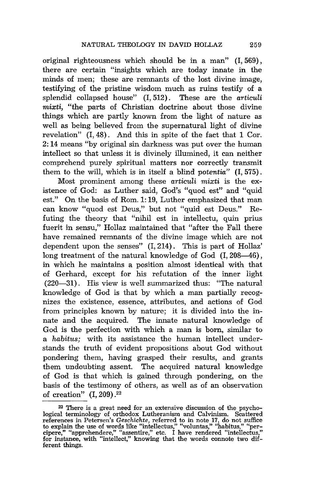original righteousness which should be in a man" (I, 569) , there are certain "insights which are today innate in the minds of men; these are remnants of the lost divine image, testifying of the pristine wisdom much as ruins testify of a splendid collapsed house" (I, 512) . These are the *articuli mixti,* "the parts of Christian doctrine about those divine things which are partly known from the light of nature as well as being believed from the supernatural light of divine revelation"  $(I, 48)$ . And this in spite of the fact that  $1$  Cor. 2: 14 means "by original sin darkness was put over the human intellect so that unless it is divinely illumined, it can neither comprehend purely spiritual matters nor correctly transmit them to the will, which is in itself a blind *potentia"* (1,575).

Most prominent among these *articuli mixti* is the existence of God: as Luther said, God's "quod est" and "quid est." On the basis of Rom. 1: 19, Luther emphasized that man can know "quod est Deus," but not "quid est Deus." Refuting the theory that "nihil est in intellectu, quin prius fuerit in sensu," Hollaz maintained that "after the Fall there have remained remnants of the divine image which are not dependent upon the senses" (I, 214) . This is part of Hollaz' long treatment of the natural knowledge of God (I, 208-46), in which he maintains a position almost identical with that of Gerhard, except for his refutation of the inner light (220-31) . His view is well summarized thus: "The natural knowledge of God is that by which a man partially recognizes the existence, essence, attributes, and actions of God from principles known by nature; it is divided into the innate and the acquired. The innate natural knowledge of God is the perfection with which a man is born, similar to a *habitus;* with its assistance the human intellect understands the truth of evident propositions about God without pondering them, having grasped their results, and grants them undoubting assent. The acquired natural knowledge of God is that which is gained through pondering, on the basis of the testimony of others, as well as of an observation of creation"  $(1, 209)$ .<sup>22</sup>

<sup>22</sup> There is a great need for an extensive discussion of the psychological terminology of orthodox Lutheranism and Calvinism. Scattered references in Petersen's Geschichte, referred to in note 17, do not suffice to explain the use of words like "intellectus," "voluntas," "habitus," "per--<br>cipere," "apprehendere," "assentire," etc. I have rendered "intellectus,"<br>for instance, with "intellect," knowing that the words connote two dif ferent things.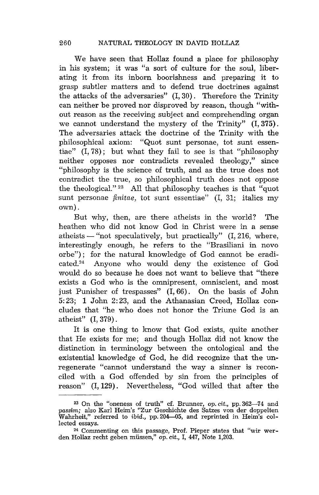We have seen that Hollaz found a place for philosophy in his system; it was "a sort of culture for the soul, liberating it from its inborn boorishness and preparing it to grasp subtler matters and to defend true doctrines against the attacks of the adversaries" (1,30). Therefore the Trinity can neither be proved nor disproved by reason, though "without reason as the receiving subject and comprehending organ we cannot understand the mystery of the Trinity" (I, 375) . The adversaries attack the doctrine of the Trinity with the philosophical axiom: "Quot sunt personae, tot sunt essentiae" (1,78); but what they fail to see is that "philosophy neither opposes nor contradicts revealed theology," since "philosophy is the science of truth, and as the true does not contradict the true, so philosophical truth does not oppose the theological." 23 All that philosophy teaches is that "quot sunt personae *finitae,* tot sunt essentiae" (I, 31; italics my own).

But why, then, are there atheists in the world? The heathen who did not know God in Christ were in a sense atheists  $-$  "not speculatively, but practically" (I, 216, where, interestingly enough, he refers to the "Brasiliani in novo orbe"); for the natural knowledge of God cannot be eradicated. 24 Anyone who would deny the existence of God would do so because he does not want to believe that "there exists a God who is the omnipresent, omniscient, and most just Punisher of trespasses" (1,66). On the basis of John 5: 23; 1 John 2: 23, and the Athanasian Creed, Hollaz concludes that "he who does not honor the Triune God is an atheist" (I, 379) .

It is one thing to know that God exists, quite another that He exists for me; and though Hollaz did not know the distinction in terminology between the ontological and the existential knowledge of God, he did recognize that the unregenerate "cannot understand the way a sinner is reconciled with a God offended by sin from the principles of reason" (1,129). Nevertheless, "God willed that after the

<sup>&</sup>lt;sup>23</sup> On the "oneness of truth" cf. Brunner, op. cit., pp. 362-74 and passim; also Karl Heim's "Zur Geschichte des Satzes von der doppelten Wahrheit," referred to *ibid.*, pp. 204-05, and reprinted in Heim's collected essays.

<sup>24</sup> Commenting on this passage, Prof. Pieper states that "wir werden Hollaz recht geben miissen," op. cit., I, 447, Note 1,203.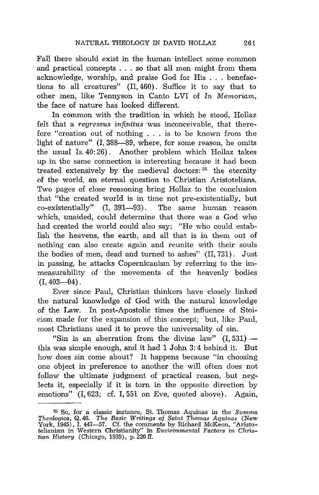Fall there should exist in the human intellect some common and practical concepts . . . so that all men might from them acknowledge, worship, and praise God for His . . . benefactions to all creatures" (II, 460). Suffice it to say that to other men, like Tennyson in Canto LVI of *In Memoriam,*  the face of nature has looked different.

In common with the tradition in which he stood, Hollaz felt that a *regressus infinitus* was inconceivable, that therefore "creation out of nothing . . . is to be known from the light of nature" (I, 388-89, where, for some reason, he omits the usual Is. 40: 26). Another problem which Hollaz takes up in the same connection is interesting because it had been treated extensively by the medieval doctors: 25 the eternity of the world, an eternal question to Christian Aristotelians. Two pages of close reasoning bring Hollaz to the conclusion that "the created world is in time not pre-existentially, but co-existentially" (I, 391-93). The same human reason which, unaided, could determine that there was a God who had created the world could also say: "He who could establish the heavens, the earth, and all that is in them out of nothing can also create again and reunite with their souls the bodies of men, dead and turned to ashes" (II, 721). Just in passing, he attacks Copernicanism by referring to the immeasurability of the movements of the heavenly bodies  $(I, 403-04)$ .

Ever since Paul, Christian thinkers have closely linked the natural knowledge of God with the natural knowledge of the Law. In post-Apostolic times the influence of Stoicism made for the expansion of this concept; but, like Paul, most Christians used it to prove the universality of sin.

"Sin is an aberration from the divine  $law$ "  $(I. 531)$  this was simple enough, and it had 1 John 3: 4 behind it. But how does sin come about? It happens because "in choosing one object in preference to another the will often does not follow the ultimate judgment of practical reason, but neglects it, especially if it is torn in the opposite direction by emotions" (I, 623; cf. I, 551 on Eve, quoted above). Again,

<sup>25</sup> So, for a classic instance, St. Thomas Aquinas in the *Summa Theologica,* Q.46. *The Basic Writings* of *Saint Thomas Aquinas* (New York, 1945), I, 447-57. Cf. the comments by Richard McKeon, "Aristotelianism in Western Christianity" in *Environmental Factors in Christian History* (Chicago, 1939), p. 220 fT.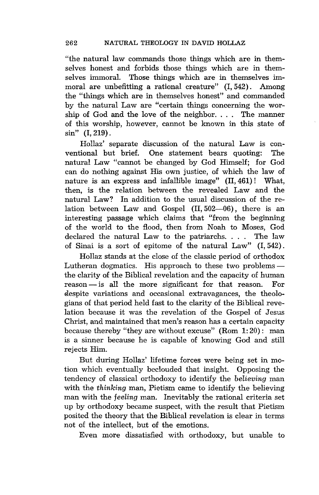"the natural law commands those things which are in themselves honest and forbids those things which are in themselves immoral. Those things which are in themselves immoral are unbefitting a rational creature" (I, 542) . Among the "things which are in themselves honest" and commanded by the natural Law are "certain things concerning the worship of God and the love of the neighbor. . .. The manner of this worship, however, cannot be known in this state of sin" (1,219).

Hollaz' separate discussion of the natural Law is conventional but brief. One statement bears quoting: The natural Law "cannot be changed by God Himself; for God can do nothing against His own justice, of which the law of nature is an express and infallible image" (II, 461) ! What, then, is the relation between the revealed Law and the natural Law? In addition to the usual discussion of the relation between Law and Gospel  $(II, 502-06)$ , there is an interesting passage which claims that "from the beginning of the world to the flood, then from Noah to Moses, God declared the natural Law to the patriarchs. . .. The law of Sinai is a sort of epitome of the natural Law" (I, 542) .

Hollaz stands at the close of the classic period of orthodox Lutheran dogmatics. His approach to these two problems $$ the clarity of the Biblical revelation and the capacity of human  $reason - is all the more significant for that reason. For$ despite variations and occasional extravagances, the theologians of that period held fast to the clarity of the Biblical revelation because it was the revelation of the Gospel of Jesus Christ, and maintained that men's reason has a certain capacity because thereby "they are without excuse"  $(Rom 1:20)$ : man is a sinner because he is capable of knowing God and still rejects Him.

But during Hollaz' lifetime forces were being set in motion which eventually beclouded that insight. Opposing the tendency of classical orthodoxy to identify the *believing* man with the *thinking* man, Pietism came to identify the believing man with the *feeling* man. Inevitably the rational criteria set up by orthodoxy became suspect, with the result that Pietism posited the theory that the Biblical revelation is clear in terms not of the intellect, but of the emotions.

Even more dissatisfied with orthodoxy, but unable to